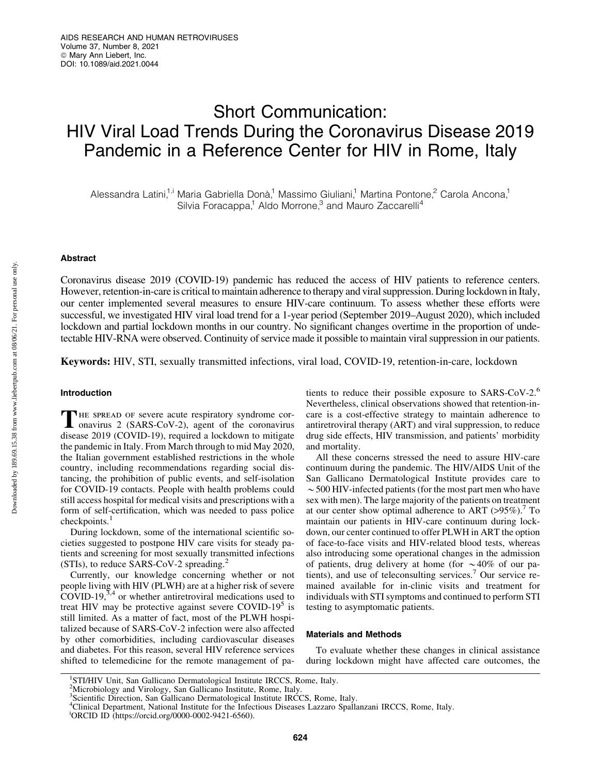# Short Communication: HIV Viral Load Trends During the Coronavirus Disease 2019 Pandemic in a Reference Center for HIV in Rome, Italy

Alessandra Latini,<sup>1,i</sup> Maria Gabriella Donà,<sup>1</sup> Massimo Giuliani,<sup>1</sup> Martina Pontone,<sup>2</sup> Carola Ancona,<sup>1</sup> Silvia Foracappa,<sup>1</sup> Aldo Morrone,<sup>3</sup> and Mauro Zaccarelli<sup>4</sup>

# Abstract

Coronavirus disease 2019 (COVID-19) pandemic has reduced the access of HIV patients to reference centers. However, retention-in-care is critical to maintain adherence to therapy and viral suppression. During lockdown in Italy, our center implemented several measures to ensure HIV-care continuum. To assess whether these efforts were successful, we investigated HIV viral load trend for a 1-year period (September 2019–August 2020), which included lockdown and partial lockdown months in our country. No significant changes overtime in the proportion of undetectable HIV-RNA were observed. Continuity of service made it possible to maintain viral suppression in our patients.

Keywords: HIV, STI, sexually transmitted infections, viral load, COVID-19, retention-in-care, lockdown

# Introduction

THE SPREAD OF severe acute respiratory syndrome cor-<br>onavirus 2 (SARS-CoV-2), agent of the coronavirus disease 2019 (COVID-19), required a lockdown to mitigate the pandemic in Italy. From March through to mid May 2020, the Italian government established restrictions in the whole country, including recommendations regarding social distancing, the prohibition of public events, and self-isolation for COVID-19 contacts. People with health problems could still access hospital for medical visits and prescriptions with a form of self-certification, which was needed to pass police checkpoints.<sup>1</sup>

During lockdown, some of the international scientific societies suggested to postpone HIV care visits for steady patients and screening for most sexually transmitted infections (STIs), to reduce SARS-CoV-2 spreading.<sup>2</sup>

Currently, our knowledge concerning whether or not people living with HIV (PLWH) are at a higher risk of severe  $COVID-19$ ,<sup>3,4</sup> or whether antiretroviral medications used to treat HIV may be protective against severe COVID-19 $5$  is still limited. As a matter of fact, most of the PLWH hospitalized because of SARS-CoV-2 infection were also affected by other comorbidities, including cardiovascular diseases and diabetes. For this reason, several HIV reference services shifted to telemedicine for the remote management of patients to reduce their possible exposure to SARS-CoV-2.<sup>6</sup> Nevertheless, clinical observations showed that retention-incare is a cost-effective strategy to maintain adherence to antiretroviral therapy (ART) and viral suppression, to reduce drug side effects, HIV transmission, and patients' morbidity and mortality.

All these concerns stressed the need to assure HIV-care continuum during the pandemic. The HIV/AIDS Unit of the San Gallicano Dermatological Institute provides care to  $\sim$  500 HIV-infected patients (for the most part men who have sex with men). The large majority of the patients on treatment at our center show optimal adherence to ART  $(>95\%)$ .<sup>7</sup> To maintain our patients in HIV-care continuum during lockdown, our center continued to offer PLWH in ART the option of face-to-face visits and HIV-related blood tests, whereas also introducing some operational changes in the admission of patients, drug delivery at home (for  $\sim$  40% of our patients), and use of teleconsulting services.<sup>7</sup> Our service remained available for in-clinic visits and treatment for individuals with STI symptoms and continued to perform STI testing to asymptomatic patients.

# Materials and Methods

To evaluate whether these changes in clinical assistance during lockdown might have affected care outcomes, the

<sup>1</sup> STI/HIV Unit, San Gallicano Dermatological Institute IRCCS, Rome, Italy.

<sup>2</sup> Microbiology and Virology, San Gallicano Institute, Rome, Italy.

<sup>&</sup>lt;sup>3</sup>Scientific Direction, San Gallicano Dermatological Institute IRCCS, Rome, Italy.

<sup>4</sup> Clinical Department, National Institute for the Infectious Diseases Lazzaro Spallanzani IRCCS, Rome, Italy.

i ORCID ID (https://orcid.org/0000-0002-9421-6560).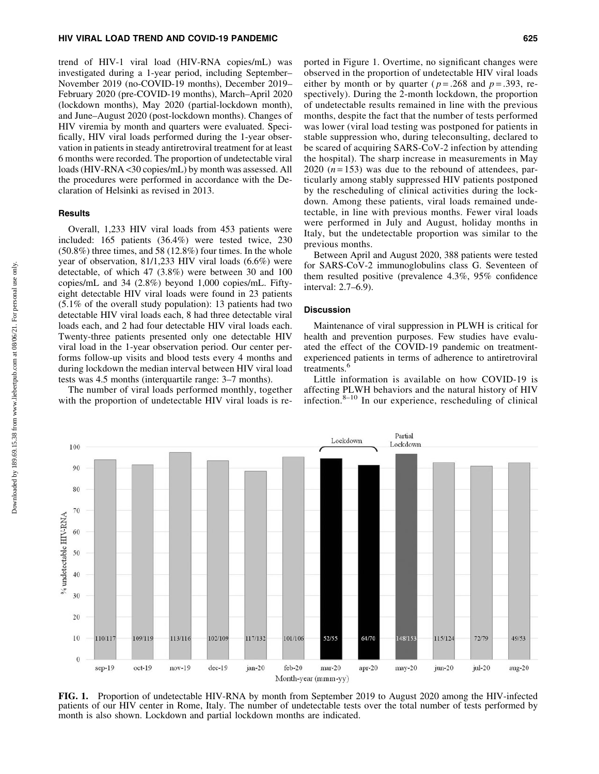# HIV VIRAL LOAD TREND AND COVID-19 PANDEMIC 625

trend of HIV-1 viral load (HIV-RNA copies/mL) was investigated during a 1-year period, including September– November 2019 (no-COVID-19 months), December 2019– February 2020 (pre-COVID-19 months), March–April 2020 (lockdown months), May 2020 (partial-lockdown month), and June–August 2020 (post-lockdown months). Changes of HIV viremia by month and quarters were evaluated. Specifically, HIV viral loads performed during the 1-year observation in patients in steady antiretroviral treatment for at least 6 months were recorded. The proportion of undetectable viral loads (HIV-RNA <30 copies/mL) by month was assessed. All the procedures were performed in accordance with the Declaration of Helsinki as revised in 2013.

#### **Results**

Overall, 1,233 HIV viral loads from 453 patients were included: 165 patients (36.4%) were tested twice, 230 (50.8%) three times, and 58 (12.8%) four times. In the whole year of observation, 81/1,233 HIV viral loads (6.6%) were detectable, of which 47 (3.8%) were between 30 and 100 copies/mL and 34 (2.8%) beyond 1,000 copies/mL. Fiftyeight detectable HIV viral loads were found in 23 patients (5.1% of the overall study population): 13 patients had two detectable HIV viral loads each, 8 had three detectable viral loads each, and 2 had four detectable HIV viral loads each. Twenty-three patients presented only one detectable HIV viral load in the 1-year observation period. Our center performs follow-up visits and blood tests every 4 months and during lockdown the median interval between HIV viral load tests was 4.5 months (interquartile range: 3–7 months).

The number of viral loads performed monthly, together with the proportion of undetectable HIV viral loads is reported in Figure 1. Overtime, no significant changes were observed in the proportion of undetectable HIV viral loads either by month or by quarter ( $p = .268$  and  $p = .393$ , respectively). During the 2-month lockdown, the proportion of undetectable results remained in line with the previous months, despite the fact that the number of tests performed was lower (viral load testing was postponed for patients in stable suppression who, during teleconsulting, declared to be scared of acquiring SARS-CoV-2 infection by attending the hospital). The sharp increase in measurements in May 2020  $(n=153)$  was due to the rebound of attendees, particularly among stably suppressed HIV patients postponed by the rescheduling of clinical activities during the lockdown. Among these patients, viral loads remained undetectable, in line with previous months. Fewer viral loads were performed in July and August, holiday months in Italy, but the undetectable proportion was similar to the previous months.

Between April and August 2020, 388 patients were tested for SARS-CoV-2 immunoglobulins class G. Seventeen of them resulted positive (prevalence 4.3%, 95% confidence interval: 2.7–6.9).

# **Discussion**

Maintenance of viral suppression in PLWH is critical for health and prevention purposes. Few studies have evaluated the effect of the COVID-19 pandemic on treatmentexperienced patients in terms of adherence to antiretroviral treatments.<sup>4</sup>

Little information is available on how COVID-19 is affecting PLWH behaviors and the natural history of HIV infection. $8-10$  In our experience, rescheduling of clinical

FIG. 1. Proportion of undetectable HIV-RNA by month from September 2019 to August 2020 among the HIV-infected patients of our HIV center in Rome, Italy. The number of undetectable tests over the total number of tests performed by month is also shown. Lockdown and partial lockdown months are indicated.